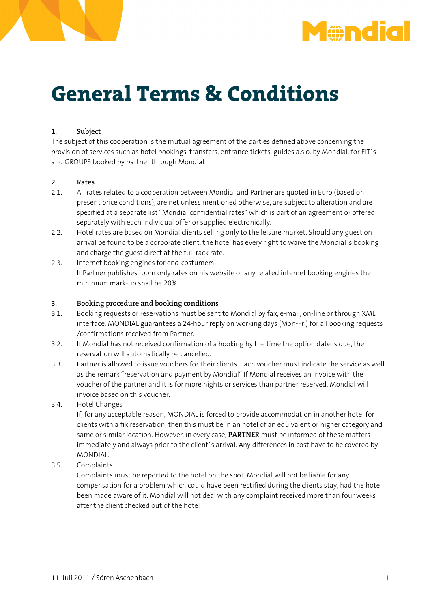



# **General Terms & Conditions**

## **1. Subject**

The subject of this cooperation is the mutual agreement of the parties defined above concerning the provision of services such as hotel bookings, transfers, entrance tickets, guides a.s.o. by Mondial, for FIT´s and GROUPS booked by partner through Mondial.

### **2. Rates**

- 2.1. All rates related to a cooperation between Mondial and Partner are quoted in Euro (based on present price conditions), are net unless mentioned otherwise, are subject to alteration and are specified at a separate list "Mondial confidential rates" which is part of an agreement or offered separately with each individual offer or supplied electronically.
- 2.2. Hotel rates are based on Mondial clients selling only to the leisure market. Should any guest on arrival be found to be a corporate client, the hotel has every right to waive the Mondial´s booking and charge the guest direct at the full rack rate.
- 2.3. Internet booking engines for end-costumers If Partner publishes room only rates on his website or any related internet booking engines the minimum mark-up shall be 20%.

#### **3. Booking procedure and booking conditions**

- 3.1. Booking requests or reservations must be sent to Mondial by fax, e-mail, on-line or through XML interface. MONDIAL guarantees a 24-hour reply on working days (Mon-Fri) for all booking requests /confirmations received from Partner.
- 3.2. If Mondial has not received confirmation of a booking by the time the option date is due, the reservation will automatically be cancelled.
- 3.3. Partner is allowed to issue vouchers for their clients. Each voucher must indicate the service as well as the remark "reservation and payment by Mondial" If Mondial receives an invoice with the voucher of the partner and it is for more nights or services than partner reserved, Mondial will invoice based on this voucher.
- 3.4. Hotel Changes

 If, for any acceptable reason, MONDIAL is forced to provide accommodation in another hotel for clients with a fix reservation, then this must be in an hotel of an equivalent or higher category and same or similar location. However, in every case, **PARTNER** must be informed of these matters immediately and always prior to the client´s arrival. Any differences in cost have to be covered by MONDIAL.

3.5. Complaints

 Complaints must be reported to the hotel on the spot. Mondial will not be liable for any compensation for a problem which could have been rectified during the clients stay, had the hotel been made aware of it. Mondial will not deal with any complaint received more than four weeks after the client checked out of the hotel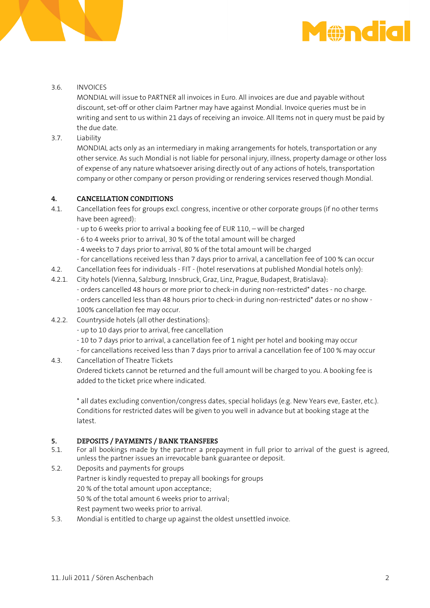

#### 3.6. INVOICES

 MONDIAL will issue to PARTNER all invoices in Euro. All invoices are due and payable without discount, set-off or other claim Partner may have against Mondial. Invoice queries must be in writing and sent to us within 21 days of receiving an invoice. All Items not in query must be paid by the due date.

3.7. Liability

 MONDIAL acts only as an intermediary in making arrangements for hotels, transportation or any other service. As such Mondial is not liable for personal injury, illness, property damage or other loss of expense of any nature whatsoever arising directly out of any actions of hotels, transportation company or other company or person providing or rendering services reserved though Mondial.

#### **4. CANCELLATION CONDITIONS**

- 4.1. Cancellation fees for groups excl. congress, incentive or other corporate groups (if no other terms have been agreed):
	- up to 6 weeks prior to arrival a booking fee of EUR 110, will be charged
	- 6 to 4 weeks prior to arrival, 30 % of the total amount will be charged
	- 4 weeks to 7 days prior to arrival, 80 % of the total amount will be charged
	- for cancellations received less than 7 days prior to arrival, a cancellation fee of 100 % can occur
- 4.2. Cancellation fees for individuals FIT (hotel reservations at published Mondial hotels only):
- 4.2.1. City hotels (Vienna, Salzburg, Innsbruck, Graz, Linz, Prague, Budapest, Bratislava):
	- orders cancelled 48 hours or more prior to check-in during non-restricted\* dates no charge. - orders cancelled less than 48 hours prior to check-in during non-restricted\* dates or no show - 100% cancellation fee may occur.
- 4.2.2. Countryside hotels (all other destinations):
	- up to 10 days prior to arrival, free cancellation
	- 10 to 7 days prior to arrival, a cancellation fee of 1 night per hotel and booking may occur
- for cancellations received less than 7 days prior to arrival a cancellation fee of 100 % may occur 4.3. Cancellation of Theatre Tickets
	- Ordered tickets cannot be returned and the full amount will be charged to you. A booking fee is added to the ticket price where indicated.

 \* all dates excluding convention/congress dates, special holidays (e.g. New Years eve, Easter, etc.). Conditions for restricted dates will be given to you well in advance but at booking stage at the latest.

# **5. DEPOSITS / PAYMENTS / BANK TRANSFERS**<br>**5.1.** For all bookings made by the partner a prep

- 5.1. For all bookings made by the partner a prepayment in full prior to arrival of the guest is agreed, unless the partner issues an irrevocable bank guarantee or deposit.
- 5.2. Deposits and payments for groups Partner is kindly requested to prepay all bookings for groups 20 % of the total amount upon acceptance; 50 % of the total amount 6 weeks prior to arrival; Rest payment two weeks prior to arrival.
- 5.3. Mondial is entitled to charge up against the oldest unsettled invoice.